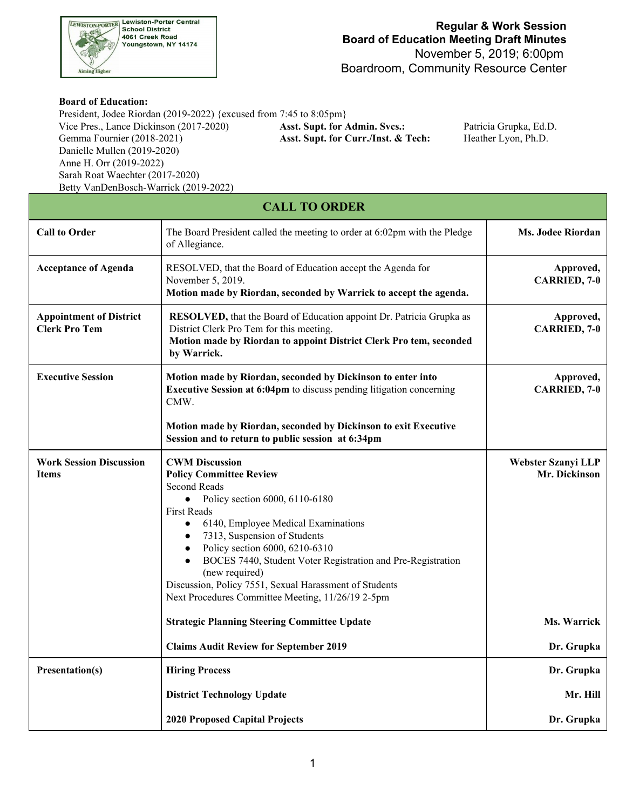

## **Board of Education:**

 President, Jodee Riordan (2019-2022) {excused from 7:45 to 8:05pm} Gemma Fournier (2018-2021) Danielle Mullen (2019-2020) Anne H. Orr (2019-2022) Sarah Roat Waechter (2017-2020) Vice Pres., Lance Dickinson (2017-2020) **Asst. Supt. for Admin. Svcs.:** Patricia Grupka, Ed.D. Betty VanDenBosch-Warrick (2019-2022)

Asst. Supt. for Curr./Inst. & Tech: Heather Lyon, Ph.D.

| <b>CALL TO ORDER</b>                                   |                                                                                                                                                                                                                                                                                                                                                                                                                                                                                        |                                     |  |
|--------------------------------------------------------|----------------------------------------------------------------------------------------------------------------------------------------------------------------------------------------------------------------------------------------------------------------------------------------------------------------------------------------------------------------------------------------------------------------------------------------------------------------------------------------|-------------------------------------|--|
| <b>Call to Order</b>                                   | The Board President called the meeting to order at 6:02pm with the Pledge<br>of Allegiance.                                                                                                                                                                                                                                                                                                                                                                                            | <b>Ms. Jodee Riordan</b>            |  |
| <b>Acceptance of Agenda</b>                            | RESOLVED, that the Board of Education accept the Agenda for<br>November 5, 2019.<br>Motion made by Riordan, seconded by Warrick to accept the agenda.                                                                                                                                                                                                                                                                                                                                  | Approved,<br>CARRIED, 7-0           |  |
| <b>Appointment of District</b><br><b>Clerk Pro Tem</b> | RESOLVED, that the Board of Education appoint Dr. Patricia Grupka as<br>District Clerk Pro Tem for this meeting.<br>Motion made by Riordan to appoint District Clerk Pro tem, seconded<br>by Warrick.                                                                                                                                                                                                                                                                                  | Approved,<br>CARRIED, 7-0           |  |
| <b>Executive Session</b>                               | Motion made by Riordan, seconded by Dickinson to enter into<br>Executive Session at 6:04pm to discuss pending litigation concerning<br>CMW.                                                                                                                                                                                                                                                                                                                                            | Approved,<br><b>CARRIED, 7-0</b>    |  |
|                                                        | Motion made by Riordan, seconded by Dickinson to exit Executive<br>Session and to return to public session at 6:34pm                                                                                                                                                                                                                                                                                                                                                                   |                                     |  |
| <b>Work Session Discussion</b><br><b>Items</b>         | <b>CWM Discussion</b><br><b>Policy Committee Review</b><br><b>Second Reads</b><br>Policy section 6000, 6110-6180<br>$\bullet$<br><b>First Reads</b><br>6140, Employee Medical Examinations<br>7313, Suspension of Students<br>Policy section 6000, 6210-6310<br>$\bullet$<br>BOCES 7440, Student Voter Registration and Pre-Registration<br>$\bullet$<br>(new required)<br>Discussion, Policy 7551, Sexual Harassment of Students<br>Next Procedures Committee Meeting, 11/26/19 2-5pm | Webster Szanyi LLP<br>Mr. Dickinson |  |
|                                                        | <b>Strategic Planning Steering Committee Update</b>                                                                                                                                                                                                                                                                                                                                                                                                                                    | Ms. Warrick                         |  |
|                                                        | <b>Claims Audit Review for September 2019</b>                                                                                                                                                                                                                                                                                                                                                                                                                                          | Dr. Grupka                          |  |
| <b>Presentation(s)</b>                                 | <b>Hiring Process</b>                                                                                                                                                                                                                                                                                                                                                                                                                                                                  | Dr. Grupka                          |  |
|                                                        | <b>District Technology Update</b>                                                                                                                                                                                                                                                                                                                                                                                                                                                      | Mr. Hill                            |  |
|                                                        | <b>2020 Proposed Capital Projects</b>                                                                                                                                                                                                                                                                                                                                                                                                                                                  | Dr. Grupka                          |  |